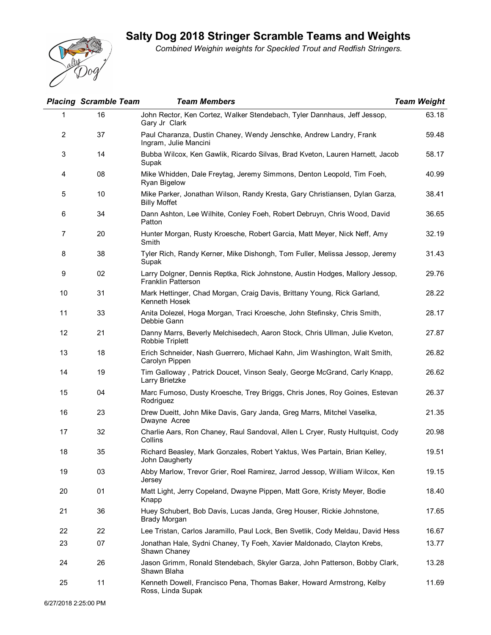## **Salty Dog 2018 Stringer Scramble Teams and Weights**



*Combined Weighin weights for Speckled Trout and Redfish Stringers.*

|                | <b>Placing Scramble Team</b> | <b>Team Members</b>                                                                                   | <b>Team Weight</b> |
|----------------|------------------------------|-------------------------------------------------------------------------------------------------------|--------------------|
| 1              | 16                           | John Rector, Ken Cortez, Walker Stendebach, Tyler Dannhaus, Jeff Jessop,<br>Gary Jr Clark             | 63.18              |
| $\overline{2}$ | 37                           | Paul Charanza, Dustin Chaney, Wendy Jenschke, Andrew Landry, Frank<br>Ingram, Julie Mancini           | 59.48              |
| 3              | 14                           | Bubba Wilcox, Ken Gawlik, Ricardo Silvas, Brad Kveton, Lauren Harnett, Jacob<br>Supak                 | 58.17              |
| 4              | 08                           | Mike Whidden, Dale Freytag, Jeremy Simmons, Denton Leopold, Tim Foeh,<br><b>Ryan Bigelow</b>          | 40.99              |
| 5              | 10                           | Mike Parker, Jonathan Wilson, Randy Kresta, Gary Christiansen, Dylan Garza,<br><b>Billy Moffet</b>    | 38.41              |
| 6              | 34                           | Dann Ashton, Lee Wilhite, Conley Foeh, Robert Debruyn, Chris Wood, David<br>Patton                    | 36.65              |
| 7              | 20                           | Hunter Morgan, Rusty Kroesche, Robert Garcia, Matt Meyer, Nick Neff, Amy<br>Smith                     | 32.19              |
| 8              | 38                           | Tyler Rich, Randy Kerner, Mike Dishongh, Tom Fuller, Melissa Jessop, Jeremy<br>Supak                  | 31.43              |
| 9              | 02                           | Larry Dolgner, Dennis Reptka, Rick Johnstone, Austin Hodges, Mallory Jessop,<br>Franklin Patterson    | 29.76              |
| 10             | 31                           | Mark Hettinger, Chad Morgan, Craig Davis, Brittany Young, Rick Garland,<br>Kenneth Hosek              | 28.22              |
| 11             | 33                           | Anita Dolezel, Hoga Morgan, Traci Kroesche, John Stefinsky, Chris Smith,<br>Debbie Gann               | 28.17              |
| 12             | 21                           | Danny Marrs, Beverly Melchisedech, Aaron Stock, Chris Ullman, Julie Kveton,<br><b>Robbie Triplett</b> | 27.87              |
| 13             | 18                           | Erich Schneider, Nash Guerrero, Michael Kahn, Jim Washington, Walt Smith,<br>Carolyn Pippen           | 26.82              |
| 14             | 19                           | Tim Galloway, Patrick Doucet, Vinson Sealy, George McGrand, Carly Knapp,<br>Larry Brietzke            | 26.62              |
| 15             | 04                           | Marc Fumoso, Dusty Kroesche, Trey Briggs, Chris Jones, Roy Goines, Estevan<br>Rodriguez               | 26.37              |
| 16             | 23                           | Drew Dueitt, John Mike Davis, Gary Janda, Greg Marrs, Mitchel Vaselka,<br>Dwayne Acree                | 21.35              |
| 17             | 32                           | Charlie Aars, Ron Chaney, Raul Sandoval, Allen L Cryer, Rusty Hultquist, Cody<br>Collins              | 20.98              |
| 18             | 35                           | Richard Beasley, Mark Gonzales, Robert Yaktus, Wes Partain, Brian Kelley,<br>John Daugherty           | 19.51              |
| 19             | 03                           | Abby Marlow, Trevor Grier, Roel Ramirez, Jarrod Jessop, William Wilcox, Ken<br>Jersey                 | 19.15              |
| 20             | 01                           | Matt Light, Jerry Copeland, Dwayne Pippen, Matt Gore, Kristy Meyer, Bodie<br>Knapp                    | 18.40              |
| 21             | 36                           | Huey Schubert, Bob Davis, Lucas Janda, Greg Houser, Rickie Johnstone,<br><b>Brady Morgan</b>          | 17.65              |
| 22             | 22                           | Lee Tristan, Carlos Jaramillo, Paul Lock, Ben Svetlik, Cody Meldau, David Hess                        | 16.67              |
| 23             | 07                           | Jonathan Hale, Sydni Chaney, Ty Foeh, Xavier Maldonado, Clayton Krebs,<br>Shawn Chaney                | 13.77              |
| 24             | 26                           | Jason Grimm, Ronald Stendebach, Skyler Garza, John Patterson, Bobby Clark,<br>Shawn Blaha             | 13.28              |
| 25             | 11                           | Kenneth Dowell, Francisco Pena, Thomas Baker, Howard Armstrong, Kelby<br>Ross, Linda Supak            | 11.69              |